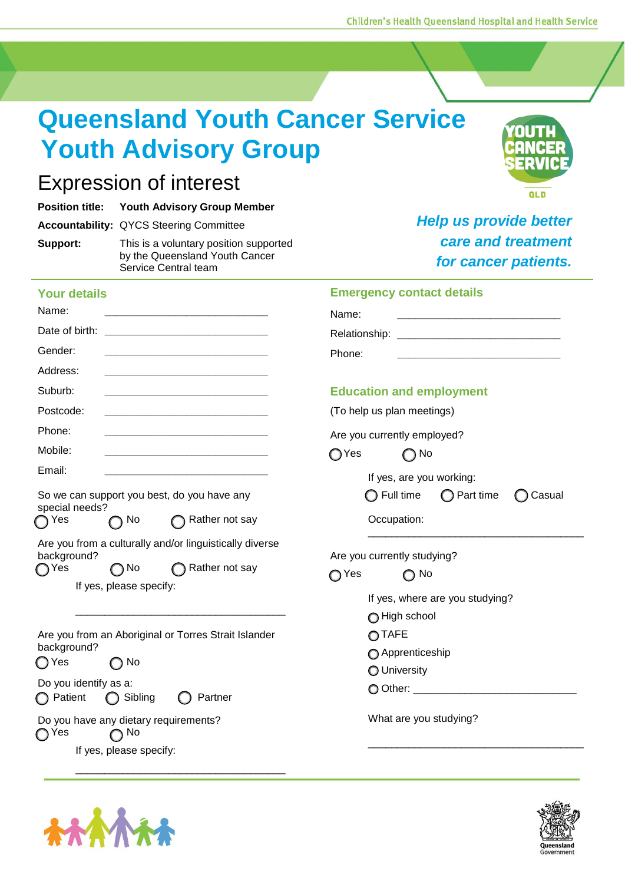**Queensland Youth Cancer Service Youth Advisory Group**

# Expression of interest

|          | <b>Position title: Youth Advisory Group Member</b>                                               |
|----------|--------------------------------------------------------------------------------------------------|
|          | <b>Accountability: QYCS Steering Committee</b>                                                   |
| Support: | This is a voluntary position supported<br>by the Queensland Youth Cancer<br>Service Central team |

## **Your details**

| Name:<br><u> 1989 - Johann Barbara, martxa al III-lea (h. 1989).</u>                                                                        | Name:                                                                                                                                                    |  |
|---------------------------------------------------------------------------------------------------------------------------------------------|----------------------------------------------------------------------------------------------------------------------------------------------------------|--|
| Date of birth:                                                                                                                              | Relationship:                                                                                                                                            |  |
| Gender:                                                                                                                                     | Phone:                                                                                                                                                   |  |
| Address:                                                                                                                                    |                                                                                                                                                          |  |
| Suburb:                                                                                                                                     | <b>Education and employment</b>                                                                                                                          |  |
| Postcode:                                                                                                                                   | (To help us plan meetings)                                                                                                                               |  |
| Phone:                                                                                                                                      | Are you currently employed?                                                                                                                              |  |
| Mobile:                                                                                                                                     | ∩Yes<br>$\bigcap$ No                                                                                                                                     |  |
| Email:                                                                                                                                      | If yes, are you working:                                                                                                                                 |  |
| So we can support you best, do you have any<br>special needs?                                                                               | $\bigcirc$ Part time<br>$\bigcirc$ Full time<br>Casual                                                                                                   |  |
| Rather not say<br>$\bigcap$ No<br>∩ Yes                                                                                                     | Occupation:                                                                                                                                              |  |
| Are you from a culturally and/or linguistically diverse<br>background?<br>Rather not say<br>∩Yes<br>$\bigcap$ No<br>If yes, please specify: | Are you currently studying?<br>∩ Yes<br>$\bigcap$ No<br>If yes, where are you studying?<br>High school<br>OTAFE<br>Apprenticeship<br><b>O</b> University |  |
| Are you from an Aboriginal or Torres Strait Islander<br>background?<br>$\bigcap$ No<br>◯ Yes                                                |                                                                                                                                                          |  |
| Do you identify as a:<br>◯ Patient<br>◯ Sibling<br>Partner                                                                                  |                                                                                                                                                          |  |
| Do you have any dietary requirements?<br>$\bigcap$ Yes<br>No                                                                                | What are you studying?                                                                                                                                   |  |
| If yes, please specify:                                                                                                                     |                                                                                                                                                          |  |
|                                                                                                                                             |                                                                                                                                                          |  |





QLD

**Emergency contact details**

| Full time | $\bigcirc$ Part time | $\bigcirc$ Casual |
|-----------|----------------------|-------------------|
|           |                      |                   |